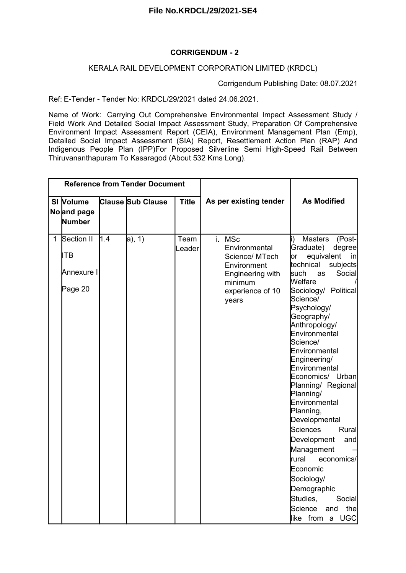## **CORRIGENDUM - 2**

## KERALA RAIL DEVELOPMENT CORPORATION LIMITED (KRDCL)

Corrigendum Publishing Date: 08.07.2021

Ref: E-Tender - Tender No: KRDCL/29/2021 dated 24.06.2021.

Name of Work: Carrying Out Comprehensive Environmental Impact Assessment Study / Field Work And Detailed Social Impact Assessment Study, Preparation Of Comprehensive Environment Impact Assessment Report (CEIA), Environment Management Plan (Emp), Detailed Social Impact Assessment (SIA) Report, Resettlement Action Plan (RAP) And Indigenous People Plan (IPP)For Proposed Silverline Semi High-Speed Rail Between Thiruvananthapuram To Kasaragod (About 532 Kms Long).

|              |                                                   |     | <b>Reference from Tender Document</b> |                |                                                                                                                      |                                                                                                                                                                                                                                                                                                                                                                                                                                                                                                                                                                                                         |
|--------------|---------------------------------------------------|-----|---------------------------------------|----------------|----------------------------------------------------------------------------------------------------------------------|---------------------------------------------------------------------------------------------------------------------------------------------------------------------------------------------------------------------------------------------------------------------------------------------------------------------------------------------------------------------------------------------------------------------------------------------------------------------------------------------------------------------------------------------------------------------------------------------------------|
|              | SI Volume<br>No and page<br>Number                |     | <b>Clause Sub Clause</b>              | <b>Title</b>   | As per existing tender                                                                                               | <b>As Modified</b>                                                                                                                                                                                                                                                                                                                                                                                                                                                                                                                                                                                      |
| $\mathbf{1}$ | Section II<br><b>ITB</b><br>Annexure I<br>Page 20 | 1.4 | $a)$ , 1)                             | Team<br>Leader | i. MSc<br>Environmental<br>Science/ MTech<br>Environment<br>Engineering with<br>minimum<br>experience of 10<br>years | <b>Masters</b><br>(Post-<br>Graduate)<br>degree<br>equivalent<br>þr<br>in<br>technical<br>subjects<br>Social<br>such<br>as<br>Welfare<br>Sociology/ Political<br>Science/<br>Psychology/<br>Geography/<br>Anthropology/<br>Environmental<br>Science/<br>Environmental<br>Engineering/<br>Environmental<br>Economics/ Urban<br>Planning/ Regional<br>Planning/<br>Environmental<br>Planning,<br>Developmental<br>Sciences<br>Rural<br>Development<br>and<br>Management<br>rural<br>economics/<br>Economic<br>Sociology/<br>Demographic<br>Studies,<br>Social<br>Science<br>the<br>and<br>like from a UGC |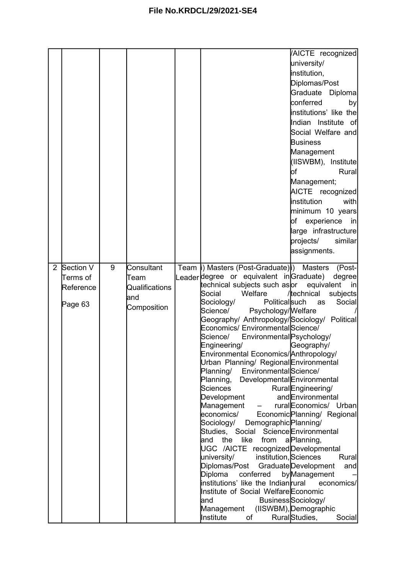|                |                                               |   |                                                            |                                                                                                                                                                                                                                                                                                                                                                                                                                                                                                                                                                                                                                                                                                                                                                                                                                                                                                                                                                       | AICTE recognized<br>university/<br>institution,<br>Diplomas/Post<br>Graduate Diploma<br>conferred<br>by<br>institutions' like the<br>Indian Institute of<br>Social Welfare and<br><b>Business</b><br>Management<br>(IISWBM), Institute                                                                                                     |
|----------------|-----------------------------------------------|---|------------------------------------------------------------|-----------------------------------------------------------------------------------------------------------------------------------------------------------------------------------------------------------------------------------------------------------------------------------------------------------------------------------------------------------------------------------------------------------------------------------------------------------------------------------------------------------------------------------------------------------------------------------------------------------------------------------------------------------------------------------------------------------------------------------------------------------------------------------------------------------------------------------------------------------------------------------------------------------------------------------------------------------------------|--------------------------------------------------------------------------------------------------------------------------------------------------------------------------------------------------------------------------------------------------------------------------------------------------------------------------------------------|
|                |                                               |   |                                                            |                                                                                                                                                                                                                                                                                                                                                                                                                                                                                                                                                                                                                                                                                                                                                                                                                                                                                                                                                                       | Rural<br>bf<br>Management;<br>AICTE recognized<br><b>i</b> nstitution<br>with<br>minimum 10 years<br>of experience<br>in<br>large infrastructure<br>projects/<br>similar<br>assignments.                                                                                                                                                   |
| $\overline{2}$ | Section V<br>Terms of<br>Reference<br>Page 63 | 9 | Consultant<br>Team<br>Qualifications<br>and<br>Composition | Team i) Masters (Post-Graduate) i) Masters<br>Leader degree or equivalent in Graduate)<br>technical subjects such as <b>o</b> r<br>Welfare<br>Social<br>Politicalsuch<br>Sociology/<br>Science/<br>Psychology/Melfare<br>Geography/ Anthropology/Sociology/ Political<br>Economics/ EnvironmentalScience/<br>Environmental Psychology/<br>Science/<br>Engineering/<br>Environmental Economics/Anthropology/<br>Urban Planning/ Regional Environmental<br>Planning/<br>EnvironmentalScience/<br>Planning,<br>Developmental Environmental<br>Sciences<br>Development<br>Management<br>economics/<br>Sociology/<br>Demographic Planning/<br>Studies, Social Science Environmental<br>like<br>and the<br>UGC /AICTE recognized Developmental<br>university/<br>institution, Sciences<br>Diplomas/Post<br>conferred<br>Diploma<br>institutions' like the Indianrural<br>Institute of Social Welfare Economic<br>and<br>Management (IISWBM), Demographic<br>Institute<br>of | (Post-<br>degree<br>equivalent<br>inl<br>/technical<br>subjects<br>Social<br>as<br>Geography/<br>RuralEngineering/<br>andEnvironmental<br>ruralEconomics/ Urban<br>Economic Planning/ Regional<br>from a Planning,<br>Rural<br>Graduate Development<br>and<br>byManagement<br>economics/<br>Business Sociology/<br>RuralStudies,<br>Social |